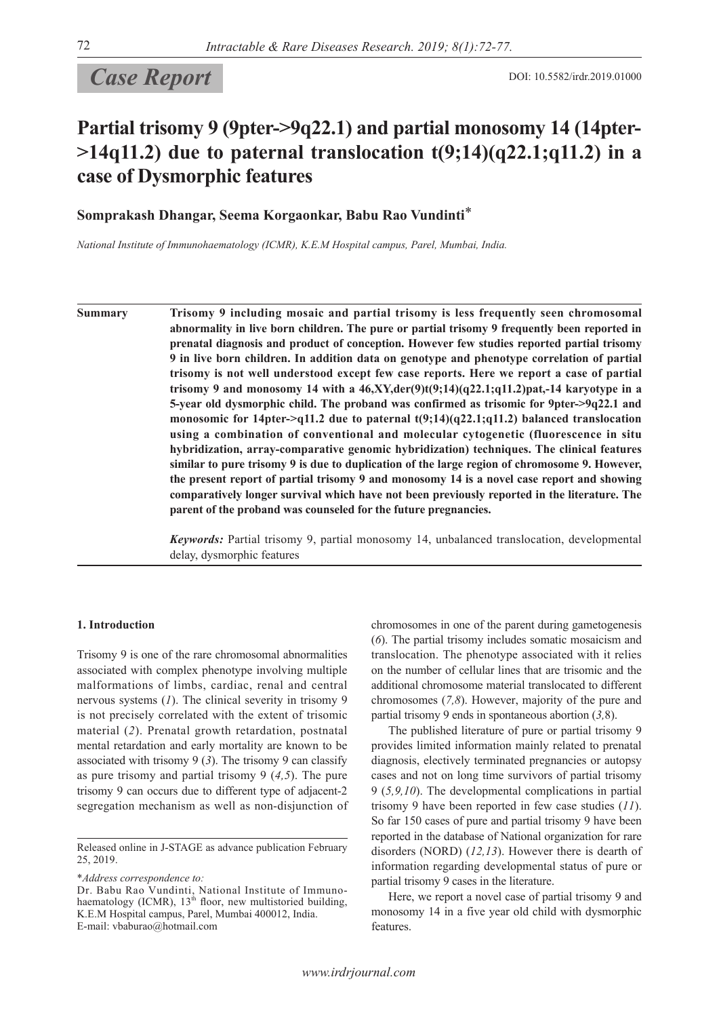# **Case Report** DOI: 10.5582/irdr.2019.01000

## **Partial trisomy 9 (9pter->9q22.1) and partial monosomy 14 (14pter- >14q11.2) due to paternal translocation t(9;14)(q22.1;q11.2) in a case of Dysmorphic features**

**Somprakash Dhangar, Seema Korgaonkar, Babu Rao Vundinti**\*

*National Institute of Immunohaematology (ICMR), K.E.M Hospital campus, Parel, Mumbai, India.*

**Summary Trisomy 9 including mosaic and partial trisomy is less frequently seen chromosomal abnormality in live born children. The pure or partial trisomy 9 frequently been reported in prenatal diagnosis and product of conception. However few studies reported partial trisomy 9 in live born children. In addition data on genotype and phenotype correlation of partial trisomy is not well understood except few case reports. Here we report a case of partial trisomy 9 and monosomy 14 with a 46,XY,der(9)t(9;14)(q22.1;q11.2)pat,-14 karyotype in a 5-year old dysmorphic child. The proband was confirmed as trisomic for 9pter->9q22.1 and monosomic for 14pter->q11.2 due to paternal t(9;14)(q22.1;q11.2) balanced translocation using a combination of conventional and molecular cytogenetic (fluorescence in situ hybridization, array-comparative genomic hybridization) techniques. The clinical features similar to pure trisomy 9 is due to duplication of the large region of chromosome 9. However, the present report of partial trisomy 9 and monosomy 14 is a novel case report and showing comparatively longer survival which have not been previously reported in the literature. The parent of the proband was counseled for the future pregnancies.**

> *Keywords:* Partial trisomy 9, partial monosomy 14, unbalanced translocation, developmental delay, dysmorphic features

## **1. Introduction**

Trisomy 9 is one of the rare chromosomal abnormalities associated with complex phenotype involving multiple malformations of limbs, cardiac, renal and central nervous systems (*1*). The clinical severity in trisomy 9 is not precisely correlated with the extent of trisomic material (*2*). Prenatal growth retardation, postnatal mental retardation and early mortality are known to be associated with trisomy 9 (*3*). The trisomy 9 can classify as pure trisomy and partial trisomy 9 (*4,5*). The pure trisomy 9 can occurs due to different type of adjacent-2 segregation mechanism as well as non-disjunction of

\**Address correspondence to:*

chromosomes in one of the parent during gametogenesis (*6*). The partial trisomy includes somatic mosaicism and translocation. The phenotype associated with it relies on the number of cellular lines that are trisomic and the additional chromosome material translocated to different chromosomes (*7,8*). However, majority of the pure and partial trisomy 9 ends in spontaneous abortion (*3,*8).

The published literature of pure or partial trisomy 9 provides limited information mainly related to prenatal diagnosis, electively terminated pregnancies or autopsy cases and not on long time survivors of partial trisomy 9 (*5,9,10*). The developmental complications in partial trisomy 9 have been reported in few case studies (*11*). So far 150 cases of pure and partial trisomy 9 have been reported in the database of National organization for rare disorders (NORD) (*12,13*). However there is dearth of information regarding developmental status of pure or partial trisomy 9 cases in the literature.

Here, we report a novel case of partial trisomy 9 and monosomy 14 in a five year old child with dysmorphic features.

Released online in J-STAGE as advance publication February 25, 2019.

Dr. Babu Rao Vundinti, National Institute of Immunohaematology (ICMR),  $13<sup>th</sup>$  floor, new multistoried building, K.E.M Hospital campus, Parel, Mumbai 400012, India. E-mail: vbaburao@hotmail.com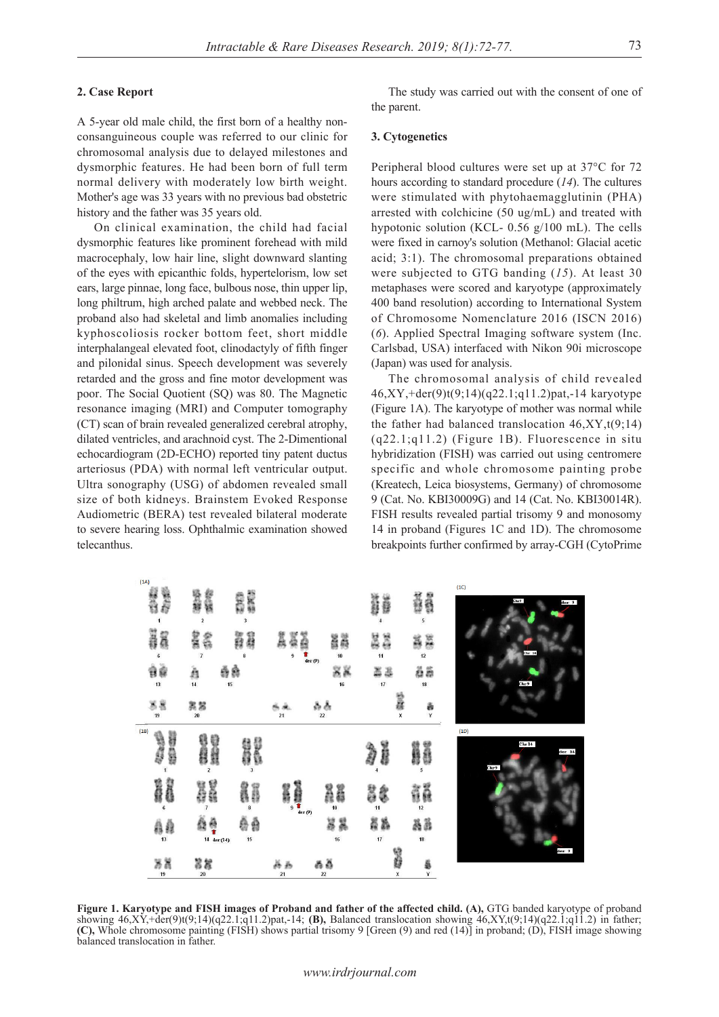## **2. Case Report**

A 5-year old male child, the first born of a healthy nonconsanguineous couple was referred to our clinic for chromosomal analysis due to delayed milestones and dysmorphic features. He had been born of full term normal delivery with moderately low birth weight. Mother's age was 33 years with no previous bad obstetric history and the father was 35 years old.

On clinical examination, the child had facial dysmorphic features like prominent forehead with mild macrocephaly, low hair line, slight downward slanting of the eyes with epicanthic folds, hypertelorism, low set ears, large pinnae, long face, bulbous nose, thin upper lip, long philtrum, high arched palate and webbed neck. The proband also had skeletal and limb anomalies including kyphoscoliosis rocker bottom feet, short middle interphalangeal elevated foot, clinodactyly of fifth finger and pilonidal sinus. Speech development was severely retarded and the gross and fine motor development was poor. The Social Quotient (SQ) was 80. The Magnetic resonance imaging (MRI) and Computer tomography (CT) scan of brain revealed generalized cerebral atrophy, dilated ventricles, and arachnoid cyst. The 2-Dimentional echocardiogram (2D-ECHO) reported tiny patent ductus arteriosus (PDA) with normal left ventricular output. Ultra sonography (USG) of abdomen revealed small size of both kidneys. Brainstem Evoked Response Audiometric (BERA) test revealed bilateral moderate to severe hearing loss. Ophthalmic examination showed telecanthus.

 $(1A)$ 

The study was carried out with the consent of one of the parent.

#### **3. Cytogenetics**

Peripheral blood cultures were set up at 37°C for 72 hours according to standard procedure (*14*). The cultures were stimulated with phytohaemagglutinin (PHA) arrested with colchicine (50 ug/mL) and treated with hypotonic solution (KCL- 0.56 g/100 mL). The cells were fixed in carnoy's solution (Methanol: Glacial acetic acid; 3:1). The chromosomal preparations obtained were subjected to GTG banding (*15*). At least 30 metaphases were scored and karyotype (approximately 400 band resolution) according to International System of Chromosome Nomenclature 2016 (ISCN 2016) (*6*). Applied Spectral Imaging software system (Inc. Carlsbad, USA) interfaced with Nikon 90i microscope (Japan) was used for analysis.

The chromosomal analysis of child revealed 46,XY,+der(9)t(9;14)(q22.1;q11.2)pat,-14 karyotype (Figure 1A). The karyotype of mother was normal while the father had balanced translocation  $46, XY, t(9,14)$ (q22.1;q11.2) (Figure 1B). Fluorescence in situ hybridization (FISH) was carried out using centromere specific and whole chromosome painting probe (Kreatech, Leica biosystems, Germany) of chromosome 9 (Cat. No. KBI30009G) and 14 (Cat. No. KBI30014R). FISH results revealed partial trisomy 9 and monosomy 14 in proband (Figures 1C and 1D). The chromosome breakpoints further confirmed by array-CGH (CytoPrime

| 地位<br>经数                               | 第5卷<br>吸線                                            | ee<br>B                               |                                                   |                                     | ij<br>N                             | ää                                   | (1C)<br>Chx9<br>der <sub>9</sub>          |
|----------------------------------------|------------------------------------------------------|---------------------------------------|---------------------------------------------------|-------------------------------------|-------------------------------------|--------------------------------------|-------------------------------------------|
| $\mathbf{1}$<br>ij<br>Ha<br>$\sqrt{6}$ | $\overline{\mathbf{c}}$<br>碧<br>\$<br>$\overline{7}$ | $\overline{\mathbf{3}}$<br>窮<br>留得    | 鷺<br>ã<br>嚣鸫                                      | ää<br>10                            | $\overline{4}$<br>EE<br>Ee          | $\overline{\phantom{a}}$<br>ãã<br>12 | $_{thr}$ 14                               |
| ĝğ<br>13                               | à                                                    | 8<br>尊爵<br>15                         | $\overline{9}$                                    | $\frac{1}{\det(9)}$<br>×<br>8<br>16 | 11<br>ä<br>磊<br>17                  | ää<br>${\bf 18}$                     | Chr9                                      |
| FÄ<br>19                               | 美<br>20                                              |                                       | 21                                                | 高春                                  | SOLUTION 2                          | 毒                                    |                                           |
| (1B)<br>机动步<br>地名美国<br>$\mathbf{1}$    | t<br><b>ONE</b><br>$\overline{2}$                    | 98<br>98<br>$\overline{\phantom{a}3}$ |                                                   |                                     | <b>Count</b><br>ģ<br>$\overline{4}$ | ii<br>H                              | (1D)<br>Chr 14<br>der 14<br>$_{\rm Chr9}$ |
| Al<br>$\bf{6}$                         | ne<br>Ne<br>$\overline{7}$                           | å8<br>$\overline{\mathbf{8}}$         | <b>CONTRACT</b><br>留飾<br>$\overline{9}$<br>der(9) | 28<br>10                            | 8¢<br>11                            | iÃ                                   |                                           |
| ĄĄ                                     | Ő<br>ë<br>14 $der(14)$                               | ĕ<br>ឆ្អ<br>15                        |                                                   | 舅<br>g<br>16                        | 嚣<br>囂<br>17                        | 晶晶<br>18                             |                                           |
| Жă<br>19                               | 篇篇<br>20                                             |                                       | Ä<br>ň<br>21                                      | ã õ<br>22                           | $\times$ and $\sim$                 | Ş                                    | der <sub>9</sub>                          |

**Figure 1. Karyotype and FISH images of Proband and father of the affected child. (A),** GTG banded karyotype of proband showing 46,XY,+der(9)t(9;14)(q22.1;q11.2)pat,-14; **(B),** Balanced translocation showing 46,XY,t(9;14)(q22.1;q11.2) in father; **(C),** Whole chromosome painting (FISH) shows partial trisomy 9 [Green (9) and red (14)] in proband; (D), FISH image showing balanced translocation in father.

## *www.irdrjournal.com*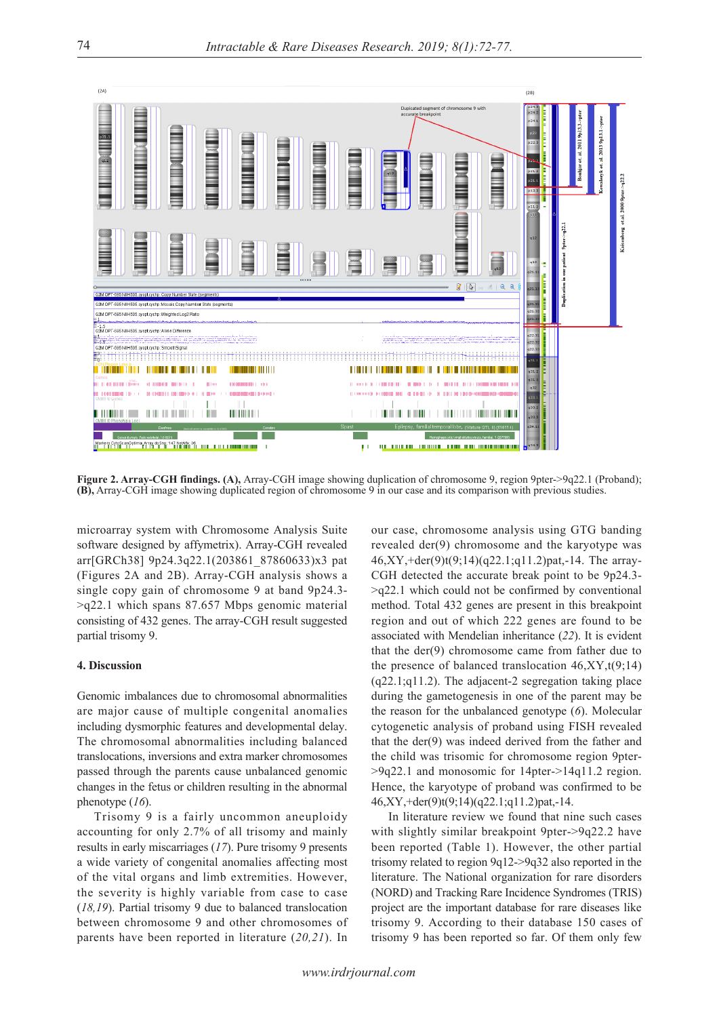

**Figure 2. Array-CGH findings. (A),** Array-CGH image showing duplication of chromosome 9, region 9pter->9q22.1 (Proband); **(B),** Array-CGH image showing duplicated region of chromosome 9 in our case and its comparison with previous studies.

microarray system with Chromosome Analysis Suite software designed by affymetrix). Array-CGH revealed arr[GRCh38] 9p24.3q22.1(203861\_87860633)x3 pat (Figures 2A and 2B). Array-CGH analysis shows a single copy gain of chromosome 9 at band 9p24.3- >q22.1 which spans 87.657 Mbps genomic material consisting of 432 genes. The array-CGH result suggested partial trisomy 9.

## **4. Discussion**

Genomic imbalances due to chromosomal abnormalities are major cause of multiple congenital anomalies including dysmorphic features and developmental delay. The chromosomal abnormalities including balanced translocations, inversions and extra marker chromosomes passed through the parents cause unbalanced genomic changes in the fetus or children resulting in the abnormal phenotype (*16*).

Trisomy 9 is a fairly uncommon aneuploidy accounting for only 2.7% of all trisomy and mainly results in early miscarriages (*17*). Pure trisomy 9 presents a wide variety of congenital anomalies affecting most of the vital organs and limb extremities. However, the severity is highly variable from case to case (*18,19*). Partial trisomy 9 due to balanced translocation between chromosome 9 and other chromosomes of parents have been reported in literature (*20,21*). In

our case, chromosome analysis using GTG banding revealed der(9) chromosome and the karyotype was 46,XY,+der(9)t(9;14)(q22.1;q11.2)pat,-14. The array-CGH detected the accurate break point to be 9p24.3- >q22.1 which could not be confirmed by conventional method. Total 432 genes are present in this breakpoint region and out of which 222 genes are found to be associated with Mendelian inheritance (*22*). It is evident that the der(9) chromosome came from father due to the presence of balanced translocation  $46, XY, t(9,14)$  $(q22.1;q11.2)$ . The adjacent-2 segregation taking place during the gametogenesis in one of the parent may be the reason for the unbalanced genotype (*6*). Molecular cytogenetic analysis of proband using FISH revealed that the der(9) was indeed derived from the father and the child was trisomic for chromosome region 9pter- >9q22.1 and monosomic for 14pter->14q11.2 region. Hence, the karyotype of proband was confirmed to be 46,XY,+der(9)t(9;14)(q22.1;q11.2)pat,-14.

In literature review we found that nine such cases with slightly similar breakpoint 9pter->9q22.2 have been reported (Table 1). However, the other partial trisomy related to region 9q12->9q32 also reported in the literature. The National organization for rare disorders (NORD) and Tracking Rare Incidence Syndromes (TRIS) project are the important database for rare diseases like trisomy 9. According to their database 150 cases of trisomy 9 has been reported so far. Of them only few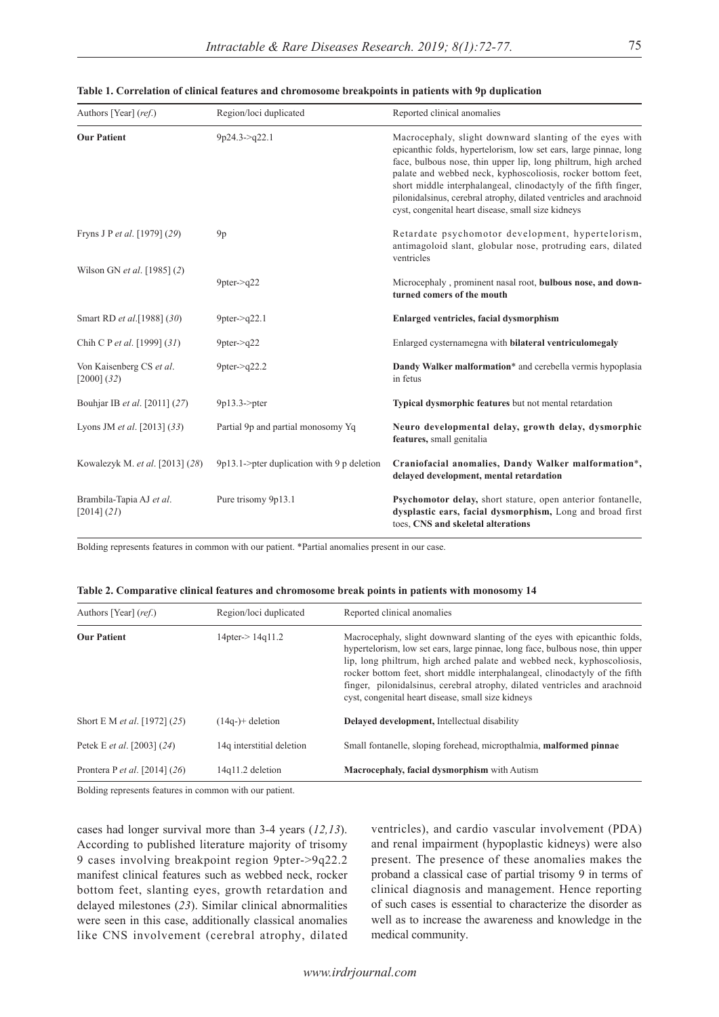| Authors [Year] (ref.)                                                              | Region/loci duplicated             | Reported clinical anomalies                                                                                                                                                                                                                                                                                                                                                                                                                                  |  |  |  |  |
|------------------------------------------------------------------------------------|------------------------------------|--------------------------------------------------------------------------------------------------------------------------------------------------------------------------------------------------------------------------------------------------------------------------------------------------------------------------------------------------------------------------------------------------------------------------------------------------------------|--|--|--|--|
| <b>Our Patient</b>                                                                 | 9p24.3 > q22.1                     | Macrocephaly, slight downward slanting of the eyes with<br>epicanthic folds, hypertelorism, low set ears, large pinnae, long<br>face, bulbous nose, thin upper lip, long philtrum, high arched<br>palate and webbed neck, kyphoscoliosis, rocker bottom feet,<br>short middle interphalangeal, clinodactyly of the fifth finger,<br>pilonidalsinus, cerebral atrophy, dilated ventricles and arachnoid<br>cyst, congenital heart disease, small size kidneys |  |  |  |  |
| Fryns J P et al. [1979] (29)                                                       | 9p                                 | Retardate psychomotor development, hypertelorism,<br>antimagoloid slant, globular nose, protruding ears, dilated<br>ventricles                                                                                                                                                                                                                                                                                                                               |  |  |  |  |
| Wilson GN et al. [1985] (2)                                                        | $9pter$ ->q22                      | Microcephaly, prominent nasal root, bulbous nose, and down-<br>turned comers of the mouth                                                                                                                                                                                                                                                                                                                                                                    |  |  |  |  |
| Smart RD et al.[1988] (30)                                                         | $9pter$ ->q22.1                    | Enlarged ventricles, facial dysmorphism                                                                                                                                                                                                                                                                                                                                                                                                                      |  |  |  |  |
| Chih C P et al. [1999] (31)                                                        | $9pter$ ->q22                      | Enlarged cysternamegna with bilateral ventriculomegaly                                                                                                                                                                                                                                                                                                                                                                                                       |  |  |  |  |
| Von Kaisenberg CS et al.<br>$[2000]$ $(32)$                                        | 9pter-> $q22.2$                    | Dandy Walker malformation* and cerebella vermis hypoplasia<br>in fetus                                                                                                                                                                                                                                                                                                                                                                                       |  |  |  |  |
| Bouhjar IB et al. [2011] (27)                                                      | $9p13.3$ - $>$ pter                | Typical dysmorphic features but not mental retardation                                                                                                                                                                                                                                                                                                                                                                                                       |  |  |  |  |
| Lyons JM et al. [2013] (33)                                                        | Partial 9p and partial monosomy Yq | Neuro developmental delay, growth delay, dysmorphic<br>features, small genitalia                                                                                                                                                                                                                                                                                                                                                                             |  |  |  |  |
| Kowalezyk M. et al. [2013] (28)<br>$9p13.1$ - $pter$ duplication with 9 p deletion |                                    | Craniofacial anomalies, Dandy Walker malformation*,<br>delayed development, mental retardation                                                                                                                                                                                                                                                                                                                                                               |  |  |  |  |
| Brambila-Tapia AJ et al.<br>[2014] (21)                                            | Pure trisomy 9p13.1                | Psychomotor delay, short stature, open anterior fontanelle,<br>dysplastic ears, facial dysmorphism, Long and broad first<br>toes, CNS and skeletal alterations                                                                                                                                                                                                                                                                                               |  |  |  |  |

**Table 1. Correlation of clinical features and chromosome breakpoints in patients with 9p duplication**

Bolding represents features in common with our patient. \*Partial anomalies present in our case.

|  |  | Table 2. Comparative clinical features and chromosome break points in patients with monosomy 14 |  |  |  |
|--|--|-------------------------------------------------------------------------------------------------|--|--|--|
|  |  |                                                                                                 |  |  |  |

| Region/loci duplicated    | Reported clinical anomalies                                                                                                                                                                                                                                                                                                                                                                                                                                |
|---------------------------|------------------------------------------------------------------------------------------------------------------------------------------------------------------------------------------------------------------------------------------------------------------------------------------------------------------------------------------------------------------------------------------------------------------------------------------------------------|
| $14$ pter $> 14$ q $11.2$ | Macrocephaly, slight downward slanting of the eyes with epicanthic folds,<br>hypertelorism, low set ears, large pinnae, long face, bulbous nose, thin upper<br>lip, long philtrum, high arched palate and webbed neck, kyphoscoliosis,<br>rocker bottom feet, short middle interphalangeal, clinodactyly of the fifth<br>finger, pilonidal sinus, cerebral atrophy, dilated ventricles and arachnoid<br>cyst, congenital heart disease, small size kidneys |
| $(14q-)$ + deletion       | Delayed development, Intellectual disability                                                                                                                                                                                                                                                                                                                                                                                                               |
| 14q interstitial deletion | Small fontanelle, sloping forehead, micropthalmia, malformed pinnae                                                                                                                                                                                                                                                                                                                                                                                        |
| 14q11.2 deletion          | <b>Macrocephaly, facial dysmorphism</b> with Autism                                                                                                                                                                                                                                                                                                                                                                                                        |
|                           |                                                                                                                                                                                                                                                                                                                                                                                                                                                            |

Bolding represents features in common with our patient.

cases had longer survival more than 3-4 years (*12,13*). According to published literature majority of trisomy 9 cases involving breakpoint region 9pter->9q22.2 manifest clinical features such as webbed neck, rocker bottom feet, slanting eyes, growth retardation and delayed milestones (*23*). Similar clinical abnormalities were seen in this case, additionally classical anomalies like CNS involvement (cerebral atrophy, dilated

ventricles), and cardio vascular involvement (PDA) and renal impairment (hypoplastic kidneys) were also present. The presence of these anomalies makes the proband a classical case of partial trisomy 9 in terms of clinical diagnosis and management. Hence reporting of such cases is essential to characterize the disorder as well as to increase the awareness and knowledge in the medical community.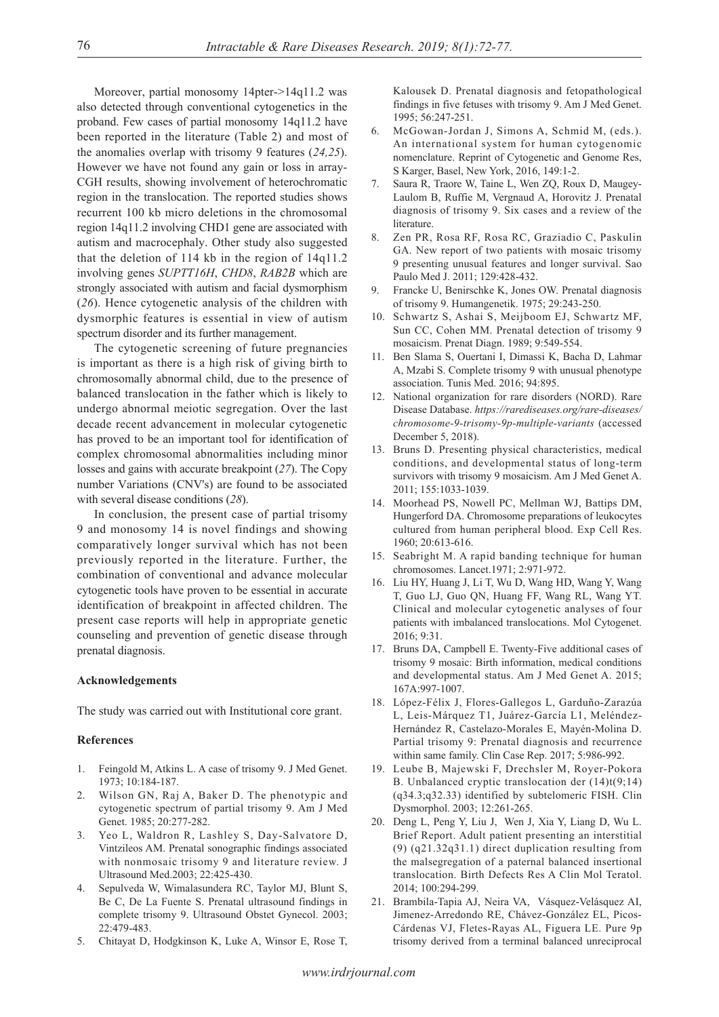Moreover, partial monosomy 14pter->14q11.2 was also detected through conventional cytogenetics in the proband. Few cases of partial monosomy 14q11.2 have been reported in the literature (Table 2) and most of the anomalies overlap with trisomy 9 features (*24,25*). However we have not found any gain or loss in array-CGH results, showing involvement of heterochromatic region in the translocation. The reported studies shows recurrent 100 kb micro deletions in the chromosomal region 14q11.2 involving CHD1 gene are associated with autism and macrocephaly. Other study also suggested that the deletion of 114 kb in the region of 14q11.2 involving genes *SUPTT16H*, *CHD8*, *RAB2B* which are strongly associated with autism and facial dysmorphism (*26*). Hence cytogenetic analysis of the children with dysmorphic features is essential in view of autism spectrum disorder and its further management.

The cytogenetic screening of future pregnancies is important as there is a high risk of giving birth to chromosomally abnormal child, due to the presence of balanced translocation in the father which is likely to undergo abnormal meiotic segregation. Over the last decade recent advancement in molecular cytogenetic has proved to be an important tool for identification of complex chromosomal abnormalities including minor losses and gains with accurate breakpoint (*27*). The Copy number Variations (CNV's) are found to be associated with several disease conditions (*28*).

In conclusion, the present case of partial trisomy 9 and monosomy 14 is novel findings and showing comparatively longer survival which has not been previously reported in the literature. Further, the combination of conventional and advance molecular cytogenetic tools have proven to be essential in accurate identification of breakpoint in affected children. The present case reports will help in appropriate genetic counseling and prevention of genetic disease through prenatal diagnosis.

## **Acknowledgements**

The study was carried out with Institutional core grant.

### **References**

- 1. Feingold M, Atkins L. A case of trisomy 9. J Med Genet. 1973; 10:184-187.
- 2. Wilson GN, Raj A, Baker D. The phenotypic and cytogenetic spectrum of partial trisomy 9. Am J Med Genet. 1985; 20:277-282.
- 3. Yeo L, Waldron R, Lashley S, Day-Salvatore D, Vintzileos AM. Prenatal sonographic findings associated with nonmosaic trisomy 9 and literature review. J Ultrasound Med.2003; 22:425-430.
- 4. Sepulveda W, Wimalasundera RC, Taylor MJ, Blunt S, Be C, De La Fuente S. Prenatal ultrasound findings in complete trisomy 9. Ultrasound Obstet Gynecol. 2003; 22:479-483.
- 5. Chitayat D, Hodgkinson K, Luke A, Winsor E, Rose T,

Kalousek D. Prenatal diagnosis and fetopathological findings in five fetuses with trisomy 9. Am J Med Genet. 1995; 56:247-251.

- McGowan-Jordan J, Simons A, Schmid M, (eds.). An international system for human cytogenomic nomenclature. Reprint of Cytogenetic and Genome Res, S Karger, Basel, New York, 2016, 149:1-2.
- 7. Saura R, Traore W, Taine L, Wen ZQ, Roux D, Maugey-Laulom B, Ruffie M, Vergnaud A, Horovitz J. Prenatal diagnosis of trisomy 9. Six cases and a review of the literature.
- 8. Zen PR, Rosa RF, Rosa RC, Graziadio C, Paskulin GA. New report of two patients with mosaic trisomy 9 presenting unusual features and longer survival. Sao Paulo Med J. 2011; 129:428-432.
- Francke U, Benirschke K, Jones OW. Prenatal diagnosis of trisomy 9. Humangenetik. 1975; 29:243-250.
- 10. Schwartz S, Ashai S, Meijboom EJ, Schwartz MF, Sun CC, Cohen MM. Prenatal detection of trisomy 9 mosaicism. Prenat Diagn. 1989; 9:549-554.
- 11. Ben Slama S, Ouertani I, Dimassi K, Bacha D, Lahmar A, Mzabi S. Complete trisomy 9 with unusual phenotype association. Tunis Med. 2016; 94:895.
- 12. National organization for rare disorders (NORD). Rare Disease Database. *https://rarediseases.org/rare-diseases/ chromosome-9-trisomy-9p-multiple-variants* (accessed December 5, 2018).
- 13. Bruns D. Presenting physical characteristics, medical conditions, and developmental status of long-term survivors with trisomy 9 mosaicism. Am J Med Genet A. 2011; 155:1033-1039.
- 14. Moorhead PS, Nowell PC, Mellman WJ, Battips DM, Hungerford DA. Chromosome preparations of leukocytes cultured from human peripheral blood. Exp Cell Res. 1960; 20:613-616.
- 15. Seabright M. A rapid banding technique for human chromosomes. Lancet.1971; 2:971-972.
- 16. Liu HY, Huang J, Li T, Wu D, Wang HD, Wang Y, Wang T, Guo LJ, Guo QN, Huang FF, Wang RL, Wang YT. Clinical and molecular cytogenetic analyses of four patients with imbalanced translocations. Mol Cytogenet. 2016; 9:31.
- 17. Bruns DA, Campbell E. Twenty-Five additional cases of trisomy 9 mosaic: Birth information, medical conditions and developmental status. Am J Med Genet A. 2015; 167A:997-1007.
- 18. López-Félix J, Flores-Gallegos L, Garduño-Zarazúa L, Leis-Márquez T1, Juárez-García L1, Meléndez-Hernández R, Castelazo-Morales E, Mayén-Molina D. Partial trisomy 9: Prenatal diagnosis and recurrence within same family. Clin Case Rep. 2017; 5:986-992.
- 19. Leube B, Majewski F, Drechsler M, Royer-Pokora B. Unbalanced cryptic translocation der (14)t(9;14) (q34.3;q32.33) identified by subtelomeric FISH. Clin Dysmorphol. 2003; 12:261-265.
- 20. Deng L, Peng Y, Liu J, Wen J, Xia Y, Liang D, Wu L. Brief Report. Adult patient presenting an interstitial (9) (q21.32q31.1) direct duplication resulting from the malsegregation of a paternal balanced insertional translocation. Birth Defects Res A Clin Mol Teratol. 2014; 100:294-299.
- 21. Brambila-Tapia AJ, Neira VA, Vásquez-Velásquez AI, Jimenez-Arredondo RE, Chávez-González EL, Picos-Cárdenas VJ, Fletes-Rayas AL, Figuera LE. Pure 9p trisomy derived from a terminal balanced unreciprocal